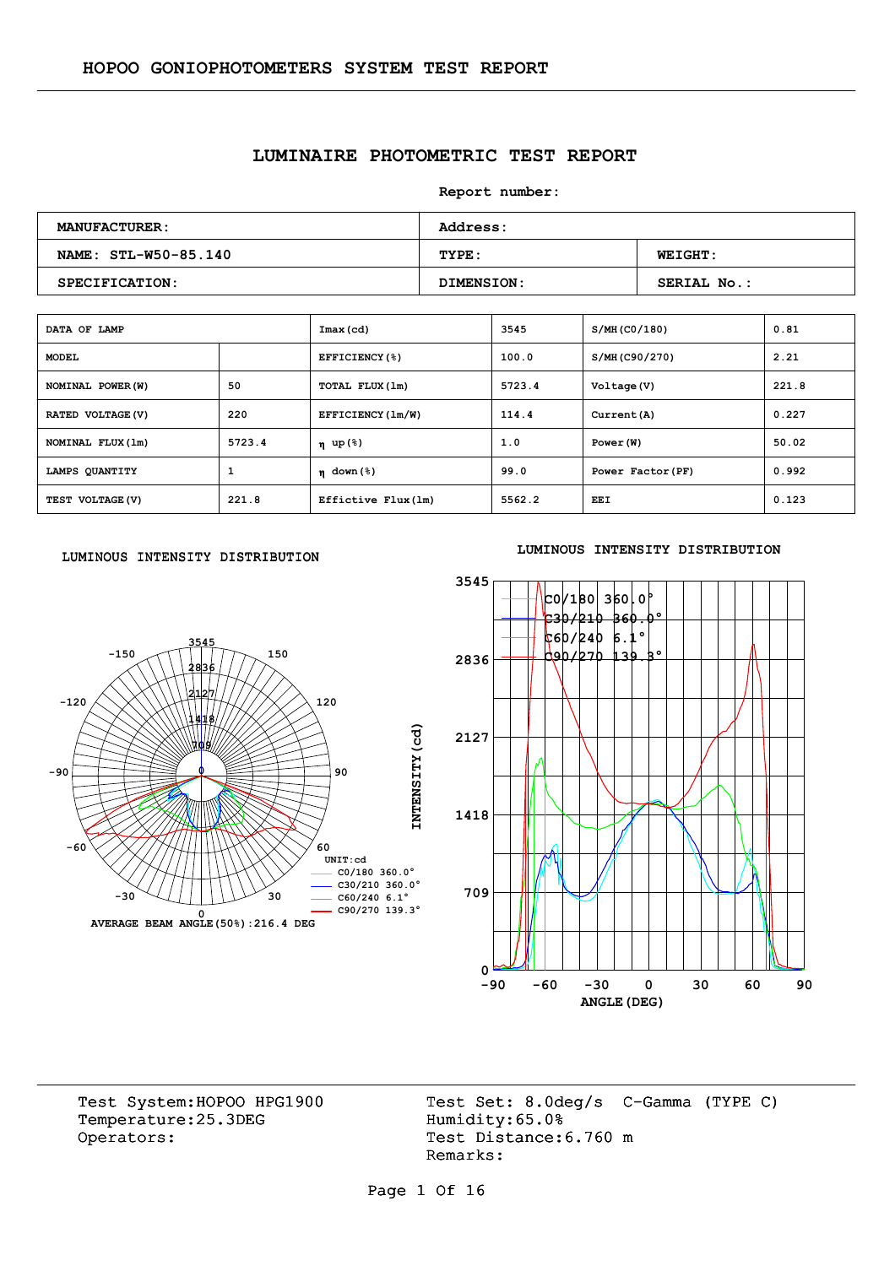## **LUMINAIRE PHOTOMETRIC TEST REPORT**

**Report number:** 

| <b>MANUFACTURER:</b> | <b>Address:</b> |                    |  |  |  |  |
|----------------------|-----------------|--------------------|--|--|--|--|
| NAME: STL-W50-85.140 | TYPE:           | <b>WEIGHT:</b>     |  |  |  |  |
| SPECIFICATION:       | DIMENSION:      | <b>SERIAL No.:</b> |  |  |  |  |

| DATA OF LAMP      |        | Imax (cd)                              | 3545   | S/MH (CO/180)     | 0.81  |
|-------------------|--------|----------------------------------------|--------|-------------------|-------|
| <b>MODEL</b>      |        | EFFICIENCY(%)                          | 100.0  | S/MH(C90/270)     | 2.21  |
| NOMINAL POWER (W) | 50     | TOTAL FLUX (1m)                        | 5723.4 | Voltage (V)       | 221.8 |
| RATED VOLTAGE (V) | 220    | EFFICIENCY (1m/W)                      | 114.4  | Current (A)       | 0.227 |
| NOMINAL FLUX (1m) | 5723.4 | η up(%)                                | 1.0    | Power (W)         | 50.02 |
| LAMPS QUANTITY    | 1      | $n \text{ down } (\text{\textdegree})$ | 99.0   | Power Factor (PF) | 0.992 |
| TEST VOLTAGE (V)  | 221.8  | Effictive Flux (1m)                    | 5562.2 | EEI               | 0.123 |

#### LUMINOUS INTENSITY DISTRIBUTION



#### **LUMINOUS INTENSITY DISTRIBUTION**



Temperature:25.3DEG Operators: Test Distance: 6.760 m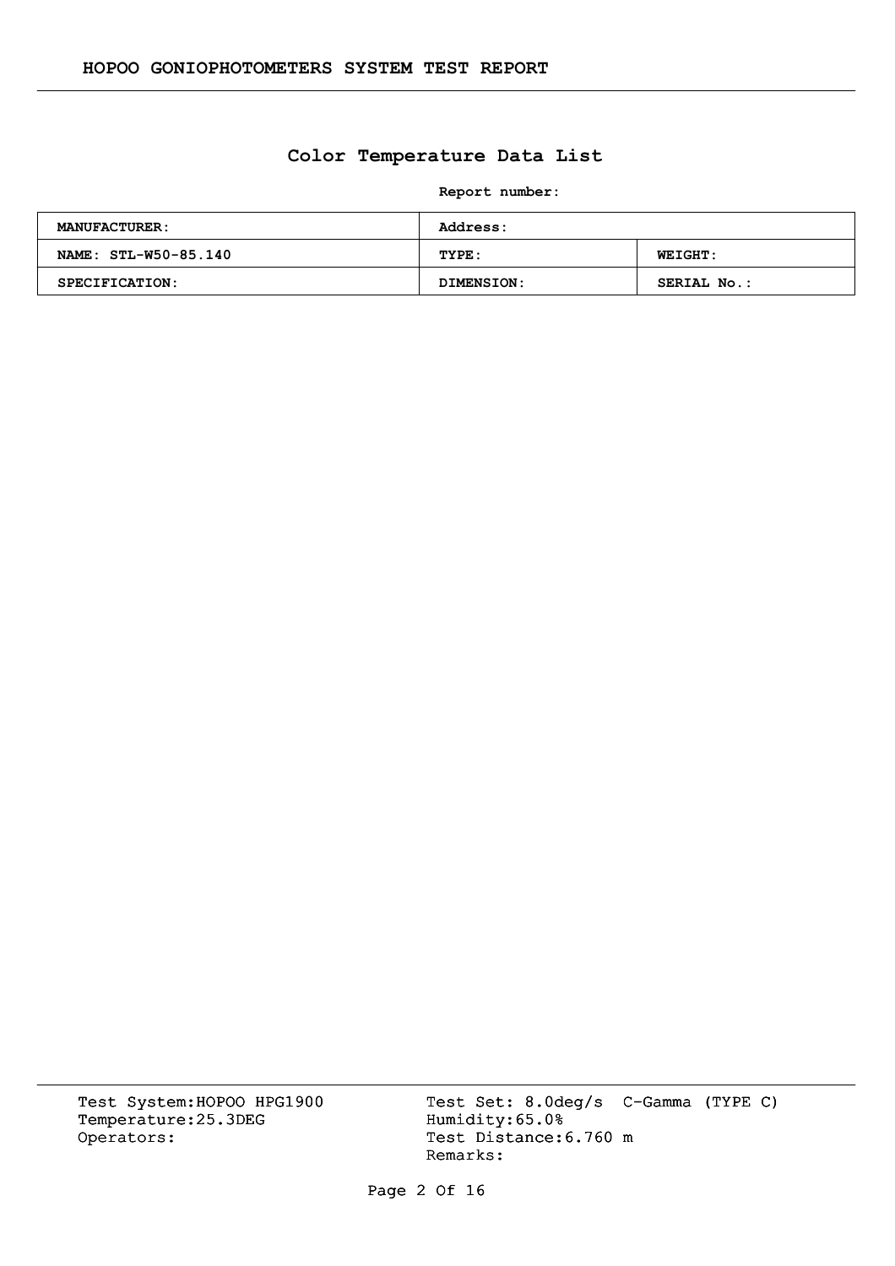## **Color Temperature Data List**

**Report number:** 

| <b>MANUFACTURER:</b> | Address:   |                    |  |  |  |  |
|----------------------|------------|--------------------|--|--|--|--|
| NAME: STL-W50-85.140 | TYPE:      | <b>WEIGHT:</b>     |  |  |  |  |
| SPECIFICATION:       | DIMENSION: | <b>SERIAL No.:</b> |  |  |  |  |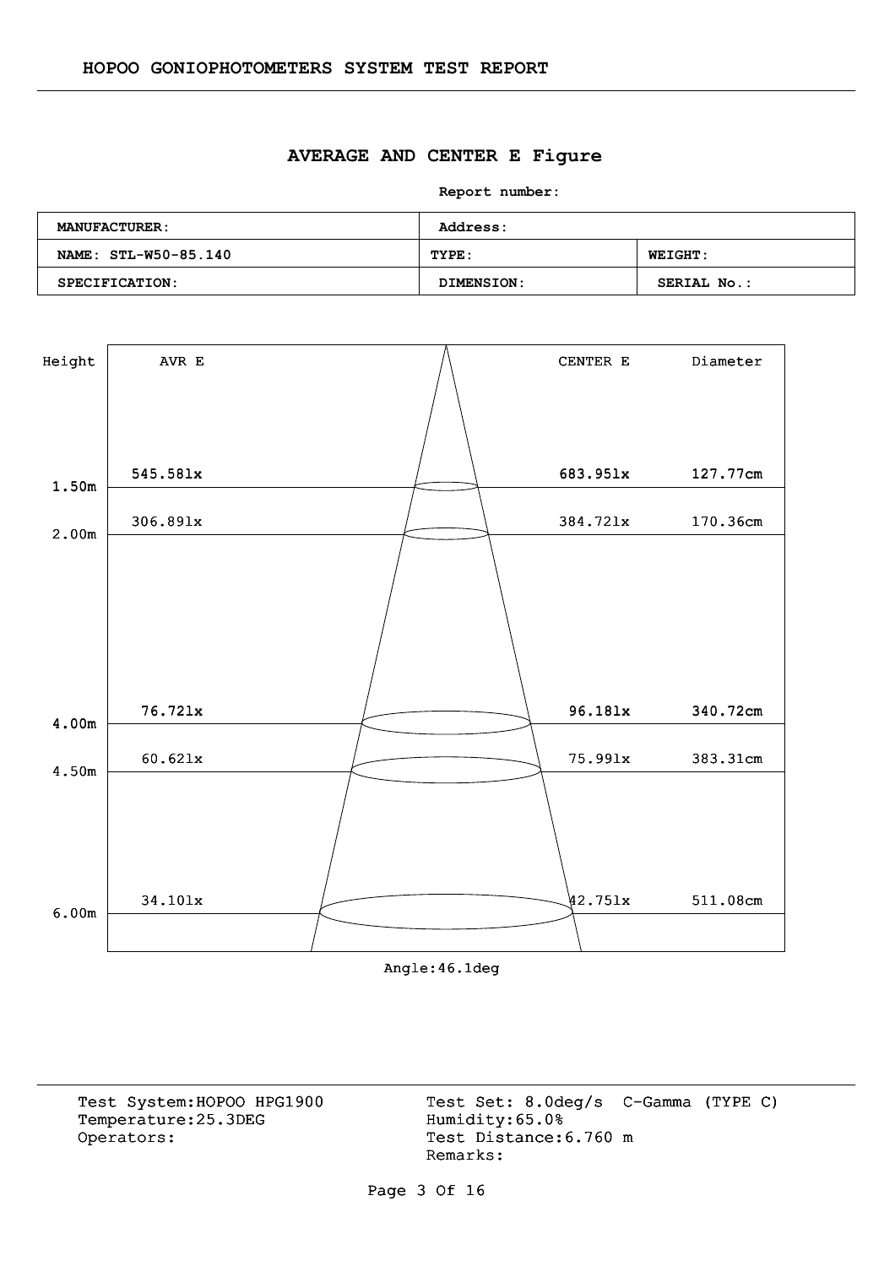#### **AVERAGE AND CENTER E Figure**

**Report number:** 

| <b>MANUFACTURER:</b> | <b>Address:</b> |                    |  |  |  |  |
|----------------------|-----------------|--------------------|--|--|--|--|
| NAME: STL-W50-85.140 | TYPE:           | <b>WEIGHT:</b>     |  |  |  |  |
| SPECIFICATION:       | DIMENSION:      | <b>SERIAL No.:</b> |  |  |  |  |



Angle:46.1deg

Temperature:25.3DEG Operators: Test Distance: 6.760 m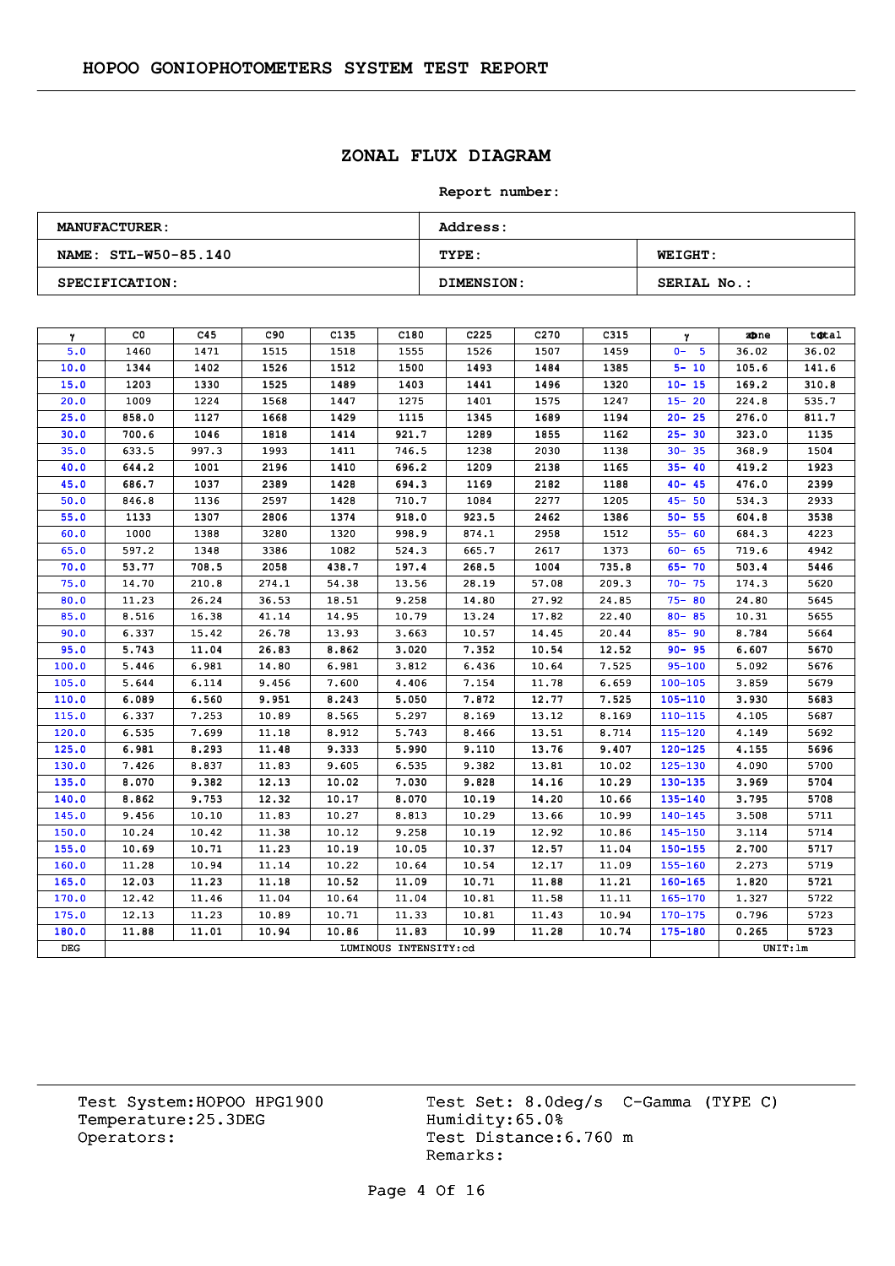# **ZONAL FLUX DIAGRAM**

#### **Report number:**

| <b>MANUFACTURER:</b> | <b>Address:</b>   |                    |  |  |  |  |  |
|----------------------|-------------------|--------------------|--|--|--|--|--|
| NAME: STL-W50-85.140 | TYPE:             | <b>WEIGHT:</b>     |  |  |  |  |  |
| SPECIFICATION:       | <b>DIMENSION:</b> | <b>SERIAL No.:</b> |  |  |  |  |  |

| γ     | CO.   | C45   | C90   | C <sub>135</sub> | C180                  | C <sub>225</sub> | C <sub>270</sub> | C315  | γ           | zone    | total |
|-------|-------|-------|-------|------------------|-----------------------|------------------|------------------|-------|-------------|---------|-------|
| 5.0   | 1460  | 1471  | 1515  | 1518             | 1555                  | 1526             | 1507             | 1459  | $0 - 5$     | 36.02   | 36.02 |
| 10.0  | 1344  | 1402  | 1526  | 1512             | 1500                  | 1493             | 1484             | 1385  | $5 - 10$    | 105.6   | 141.6 |
| 15.0  | 1203  | 1330  | 1525  | 1489             | 1403                  | 1441             | 1496             | 1320  | $10 - 15$   | 169.2   | 310.8 |
| 20.0  | 1009  | 1224  | 1568  | 1447             | 1275                  | 1401             | 1575             | 1247  | $15 - 20$   | 224.8   | 535.7 |
| 25.0  | 858.0 | 1127  | 1668  | 1429             | 1115                  | 1345             | 1689             | 1194  | $20 - 25$   | 276.0   | 811.7 |
| 30.0  | 700.6 | 1046  | 1818  | 1414             | 921.7                 | 1289             | 1855             | 1162  | $25 - 30$   | 323.0   | 1135  |
| 35.0  | 633.5 | 997.3 | 1993  | 1411             | 746.5                 | 1238             | 2030             | 1138  | $30 - 35$   | 368.9   | 1504  |
| 40.0  | 644.2 | 1001  | 2196  | 1410             | 696.2                 | 1209             | 2138             | 1165  | $35 - 40$   | 419.2   | 1923  |
| 45.0  | 686.7 | 1037  | 2389  | 1428             | 694.3                 | 1169             | 2182             | 1188  | $40 - 45$   | 476.0   | 2399  |
| 50.0  | 846.8 | 1136  | 2597  | 1428             | 710.7                 | 1084             | 2277             | 1205  | $45 - 50$   | 534.3   | 2933  |
| 55.0  | 1133  | 1307  | 2806  | 1374             | 918.0                 | 923.5            | 2462             | 1386  | $50 - 55$   | 604.8   | 3538  |
| 60.0  | 1000  | 1388  | 3280  | 1320             | 998.9                 | 874.1            | 2958             | 1512  | $55 - 60$   | 684.3   | 4223  |
| 65.0  | 597.2 | 1348  | 3386  | 1082             | 524.3                 | 665.7            | 2617             | 1373  | $60 - 65$   | 719.6   | 4942  |
| 70.0  | 53.77 | 708.5 | 2058  | 438.7            | 197.4                 | 268.5            | 1004             | 735.8 | $65 - 70$   | 503.4   | 5446  |
| 75.0  | 14.70 | 210.8 | 274.1 | 54.38            | 13.56                 | 28.19            | 57.08            | 209.3 | $70 - 75$   | 174.3   | 5620  |
| 80.0  | 11.23 | 26.24 | 36.53 | 18.51            | 9.258                 | 14.80            | 27.92            | 24.85 | $75 - 80$   | 24.80   | 5645  |
| 85.0  | 8.516 | 16.38 | 41.14 | 14.95            | 10.79                 | 13.24            | 17.82            | 22.40 | $80 - 85$   | 10.31   | 5655  |
| 90.0  | 6.337 | 15.42 | 26.78 | 13.93            | 3.663                 | 10.57            | 14.45            | 20.44 | $85 - 90$   | 8.784   | 5664  |
| 95.0  | 5.743 | 11.04 | 26.83 | 8.862            | 3.020                 | 7.352            | 10.54            | 12.52 | $90 - 95$   | 6.607   | 5670  |
| 100.0 | 5.446 | 6.981 | 14.80 | 6.981            | 3.812                 | 6.436            | 10.64            | 7.525 | $95 - 100$  | 5.092   | 5676  |
| 105.0 | 5.644 | 6.114 | 9.456 | 7.600            | 4.406                 | 7.154            | 11.78            | 6.659 | $100 - 105$ | 3.859   | 5679  |
| 110.0 | 6.089 | 6.560 | 9.951 | 8.243            | 5.050                 | 7.872            | 12.77            | 7.525 | $105 - 110$ | 3.930   | 5683  |
| 115.0 | 6.337 | 7.253 | 10.89 | 8.565            | 5.297                 | 8.169            | 13.12            | 8.169 | $110 - 115$ | 4.105   | 5687  |
| 120.0 | 6.535 | 7.699 | 11.18 | 8.912            | 5.743                 | 8.466            | 13.51            | 8.714 | 115-120     | 4.149   | 5692  |
| 125.0 | 6.981 | 8.293 | 11.48 | 9.333            | 5.990                 | 9.110            | 13.76            | 9.407 | $120 - 125$ | 4.155   | 5696  |
| 130.0 | 7.426 | 8.837 | 11.83 | 9.605            | 6.535                 | 9.382            | 13.81            | 10.02 | $125 - 130$ | 4.090   | 5700  |
| 135.0 | 8.070 | 9.382 | 12.13 | 10.02            | 7.030                 | 9.828            | 14.16            | 10.29 | $130 - 135$ | 3.969   | 5704  |
| 140.0 | 8.862 | 9.753 | 12.32 | 10.17            | 8.070                 | 10.19            | 14.20            | 10.66 | $135 - 140$ | 3.795   | 5708  |
| 145.0 | 9.456 | 10.10 | 11.83 | 10.27            | 8.813                 | 10.29            | 13.66            | 10.99 | $140 - 145$ | 3.508   | 5711  |
| 150.0 | 10.24 | 10.42 | 11.38 | 10.12            | 9.258                 | 10.19            | 12.92            | 10.86 | 145-150     | 3.114   | 5714  |
| 155.0 | 10.69 | 10.71 | 11.23 | 10.19            | 10.05                 | 10.37            | 12.57            | 11.04 | $150 - 155$ | 2.700   | 5717  |
| 160.0 | 11.28 | 10.94 | 11.14 | 10.22            | 10.64                 | 10.54            | 12.17            | 11.09 | $155 - 160$ | 2.273   | 5719  |
| 165.0 | 12.03 | 11.23 | 11.18 | 10.52            | 11.09                 | 10.71            | 11.88            | 11.21 | $160 - 165$ | 1,820   | 5721  |
| 170.0 | 12.42 | 11.46 | 11.04 | 10.64            | 11.04                 | 10.81            | 11.58            | 11.11 | 165-170     | 1.327   | 5722  |
| 175.0 | 12.13 | 11.23 | 10.89 | 10.71            | 11.33                 | 10.81            | 11,43            | 10.94 | $170 - 175$ | 0.796   | 5723  |
| 180.0 | 11.88 | 11.01 | 10.94 | 10.86            | 11.83                 | 10.99            | 11.28            | 10.74 | $175 - 180$ | 0.265   | 5723  |
| DEG   |       |       |       |                  | LUMINOUS INTENSITY:cd |                  |                  |       |             | UNIT:1m |       |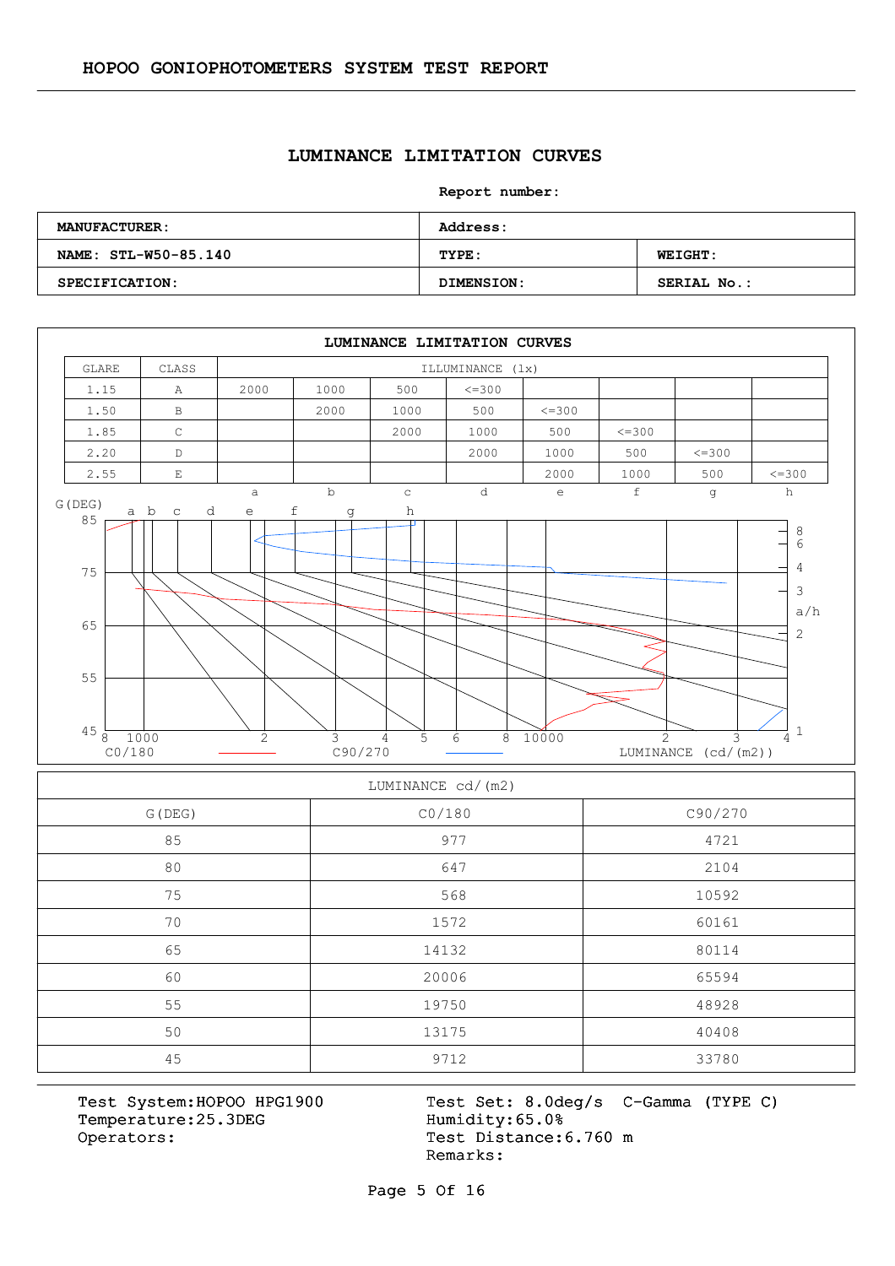#### **LUMINANCE LIMITATION CURVES**

#### **Report number:**

| <b>MANUFACTURER:</b> | Address:   |                |  |  |  |  |  |
|----------------------|------------|----------------|--|--|--|--|--|
| NAME: STL-W50-85.140 | TYPE:      | <b>WEIGHT:</b> |  |  |  |  |  |
| SPECIFICATION:       | DIMENSION: | SERIAL No.:    |  |  |  |  |  |



#### LUMINANCE cd/(m2)

| G (DEG) | CO/180 | C90/270 |  |  |  |
|---------|--------|---------|--|--|--|
| 85      | 977    | 4721    |  |  |  |
| 80      | 647    | 2104    |  |  |  |
| 75      | 568    | 10592   |  |  |  |
| 70      | 1572   | 60161   |  |  |  |
| 65      | 14132  | 80114   |  |  |  |
| 60      | 20006  | 65594   |  |  |  |
| 55      | 19750  | 48928   |  |  |  |
| 50      | 13175  | 40408   |  |  |  |
| 45      | 9712   | 33780   |  |  |  |

Temperature:25.3DEG Operators: Test Distance: 6.760 m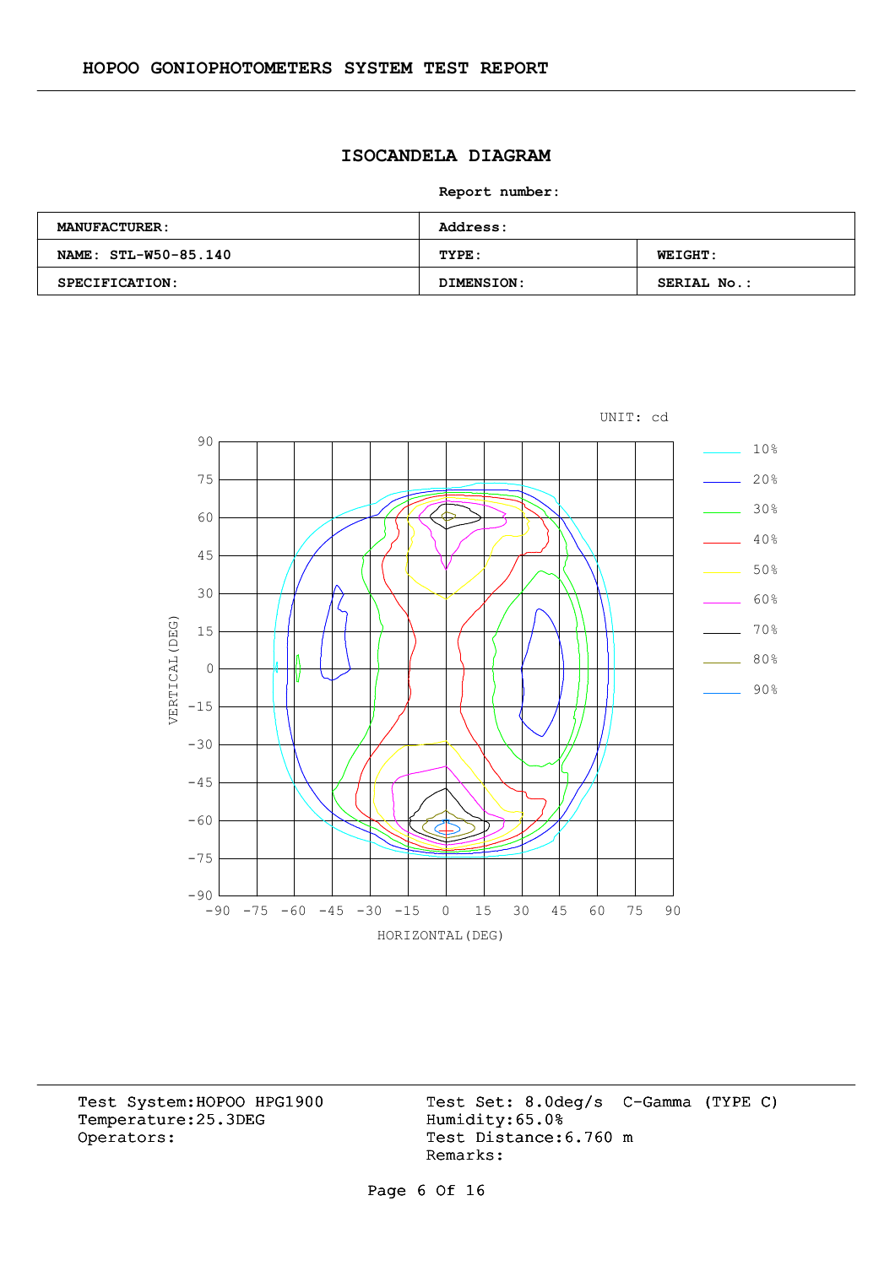# **ISOCANDELA DIAGRAM**

**Report number:** 

| <b>MANUFACTURER:</b> | <b>Address:</b> |                |  |  |  |  |
|----------------------|-----------------|----------------|--|--|--|--|
| NAME: STL-W50-85.140 | TYPE:           | <b>WEIGHT:</b> |  |  |  |  |
| SPECIFICATION:       | DIMENSION:      | SERIAL No.:    |  |  |  |  |



Temperature:25.3DEG Operators: Test Distance: 6.760 m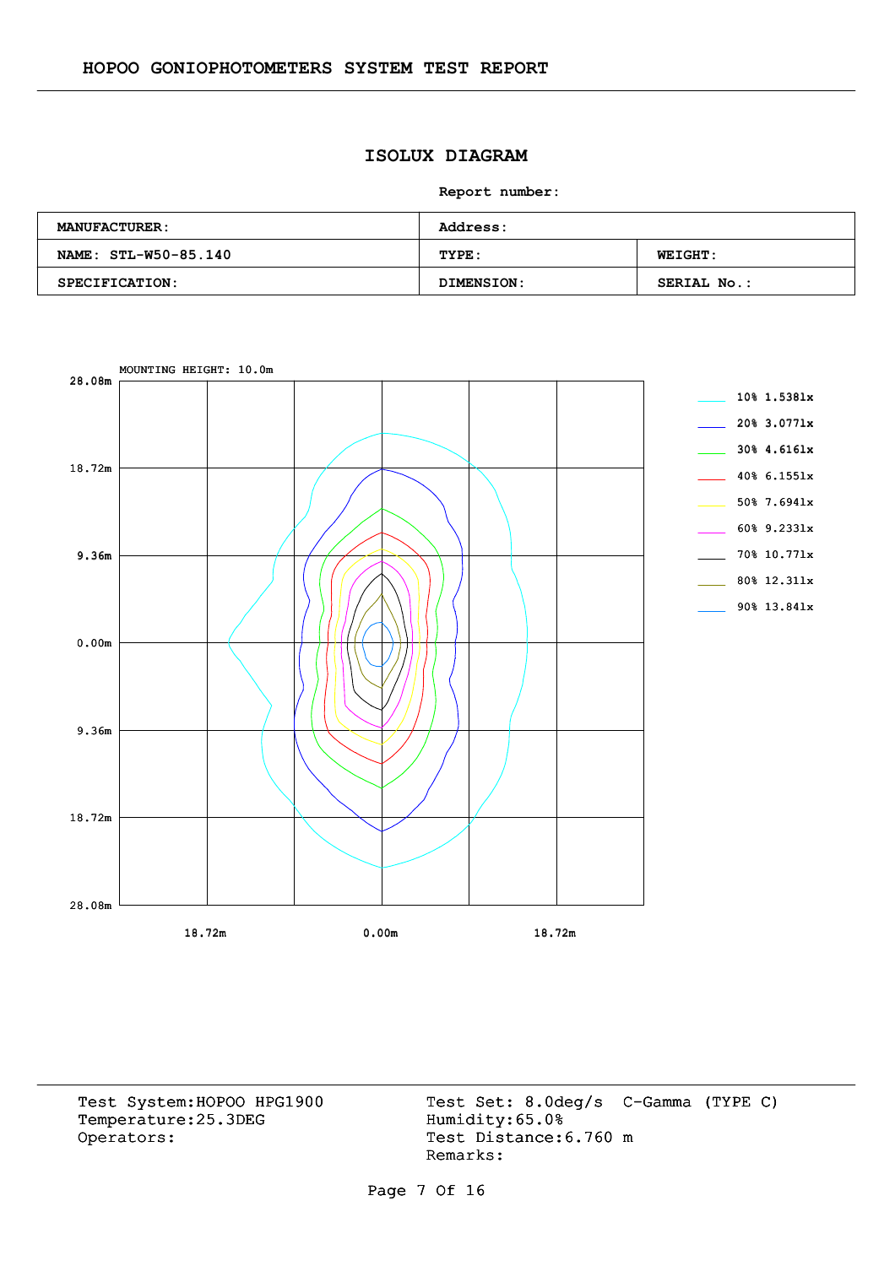# **ISOLUX DIAGRAM**

**Report number:** 

| <b>MANUFACTURER:</b> | <b>Address:</b> |                    |  |  |  |  |  |
|----------------------|-----------------|--------------------|--|--|--|--|--|
| NAME: STL-W50-85.140 | TYPE:           | <b>WEIGHT:</b>     |  |  |  |  |  |
| SPECIFICATION:       | DIMENSION:      | <b>SERIAL No.:</b> |  |  |  |  |  |



Temperature:25.3DEG Operators: Test Distance: 6.760 m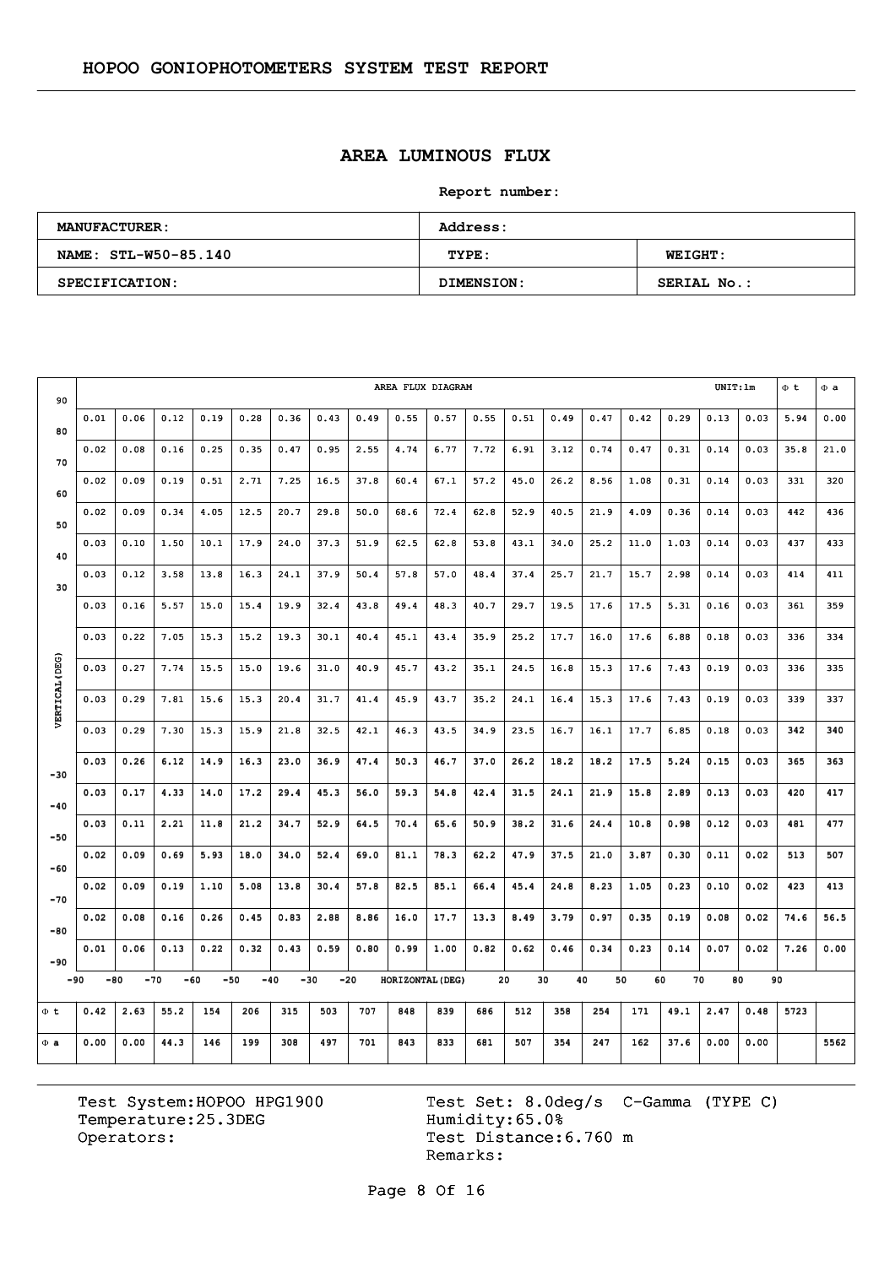# **AREA LUMINOUS FLUX**

**Report number:** 

| <b>MANUFACTURER:</b> | Address:   |                    |  |  |  |  |  |
|----------------------|------------|--------------------|--|--|--|--|--|
| NAME: STL-W50-85.140 | TYPE:      | <b>WEIGHT:</b>     |  |  |  |  |  |
| SPECIFICATION:       | DIMENSION: | <b>SERIAL No.:</b> |  |  |  |  |  |

| 90             | AREA FLUX DIAGRAM |       |      |       |       |                |      |       |                  |      |      |      | UNIT:lm |      | $\Phi$ <sub>t</sub> | $\Phi$ a |      |      |      |      |
|----------------|-------------------|-------|------|-------|-------|----------------|------|-------|------------------|------|------|------|---------|------|---------------------|----------|------|------|------|------|
| 80             | 0.01              | 0.06  | 0.12 | 0.19  | 0.28  | 0.36           | 0.43 | 0.49  | 0.55             | 0.57 | 0.55 | 0.51 | 0.49    | 0.47 | 0.42                | 0.29     | 0.13 | 0.03 | 5.94 | 0.00 |
| 70             | 0.02              | 0.08  | 0.16 | 0.25  | 0.35  | 0.47           | 0.95 | 2.55  | 4.74             | 6.77 | 7.72 | 6.91 | 3.12    | 0.74 | 0.47                | 0.31     | 0.14 | 0.03 | 35.8 | 21.0 |
| 60             | 0.02              | 0.09  | 0.19 | 0.51  | 2.71  | 7.25           | 16.5 | 37.8  | 60.4             | 67.1 | 57.2 | 45.0 | 26.2    | 8.56 | 1.08                | 0.31     | 0.14 | 0.03 | 331  | 320  |
|                | 0.02              | 0.09  | 0.34 | 4.05  | 12.5  | 20.7           | 29.8 | 50.0  | 68.6             | 72.4 | 62.8 | 52.9 | 40.5    | 21.9 | 4.09                | 0.36     | 0.14 | 0.03 | 442  | 436  |
| 50             | 0.03              | 0.10  | 1.50 | 10.1  | 17.9  | 24.0           | 37.3 | 51.9  | 62.5             | 62.8 | 53.8 | 43.1 | 34.0    | 25.2 | 11.0                | 1.03     | 0.14 | 0.03 | 437  | 433  |
| 40             | 0.03              | 0.12  | 3.58 | 13.8  | 16.3  | 24.1           | 37.9 | 50.4  | 57.8             | 57.0 | 48.4 | 37.4 | 25.7    | 21.7 | 15.7                | 2.98     | 0.14 | 0.03 | 414  | 411  |
| 30             | 0.03              | 0.16  | 5.57 | 15.0  | 15.4  | 19.9           | 32.4 | 43.8  | 49.4             | 48.3 | 40.7 | 29.7 | 19.5    | 17.6 | 17.5                | 5.31     | 0.16 | 0.03 | 361  | 359  |
|                | 0.03              | 0.22  | 7.05 | 15.3  | 15.2  | 19.3           | 30.1 | 40.4  | 45.1             | 43.4 | 35.9 | 25.2 | 17.7    | 16.0 | 17.6                | 6.88     | 0.18 | 0.03 | 336  | 334  |
|                | 0.03              | 0.27  | 7.74 | 15.5  | 15.0  | 19.6           | 31.0 | 40.9  | 45.7             | 43.2 | 35.1 | 24.5 | 16.8    | 15.3 | 17.6                | 7.43     | 0.19 | 0.03 | 336  | 335  |
| VERTICAL (DEG) | 0.03              | 0.29  | 7.81 | 15.6  | 15.3  | 20.4           | 31.7 | 41.4  | 45.9             | 43.7 | 35.2 | 24.1 | 16.4    | 15.3 | 17.6                | 7.43     | 0.19 | 0.03 | 339  | 337  |
|                |                   |       |      |       |       |                |      |       |                  |      |      |      |         |      |                     |          |      |      |      |      |
|                | 0.03              | 0.29  | 7.30 | 15.3  | 15.9  | 21.8           | 32.5 | 42.1  | 46.3             | 43.5 | 34.9 | 23.5 | 16.7    | 16.1 | 17.7                | 6.85     | 0.18 | 0.03 | 342  | 340  |
| $-30$          | 0.03              | 0.26  | 6.12 | 14.9  | 16.3  | 23.0           | 36.9 | 47.4  | 50.3             | 46.7 | 37.0 | 26.2 | 18.2    | 18.2 | 17.5                | 5.24     | 0.15 | 0.03 | 365  | 363  |
| $-40$          | 0.03              | 0.17  | 4.33 | 14.0  | 17.2  | 29.4           | 45.3 | 56.0  | 59.3             | 54.8 | 42.4 | 31.5 | 24.1    | 21.9 | 15.8                | 2.89     | 0.13 | 0.03 | 420  | 417  |
| $-50$          | 0.03              | 0.11  | 2.21 | 11.8  | 21.2  | 34.7           | 52.9 | 64.5  | 70.4             | 65.6 | 50.9 | 38.2 | 31.6    | 24.4 | 10.8                | 0.98     | 0.12 | 0.03 | 481  | 477  |
| $-60$          | 0.02              | 0.09  | 0.69 | 5.93  | 18.0  | 34.0           | 52.4 | 69.0  | 81.1             | 78.3 | 62.2 | 47.9 | 37.5    | 21.0 | 3.87                | 0.30     | 0.11 | 0.02 | 513  | 507  |
| $-70$          | 0.02              | 0.09  | 0.19 | 1.10  | 5.08  | 13.8           | 30.4 | 57.8  | 82.5             | 85.1 | 66.4 | 45.4 | 24.8    | 8.23 | 1.05                | 0.23     | 0.10 | 0.02 | 423  | 413  |
| $-80$          | 0.02              | 0.08  | 0.16 | 0.26  | 0.45  | 0.83           | 2.88 | 8.86  | 16.0             | 17.7 | 13.3 | 8.49 | 3.79    | 0.97 | 0.35                | 0.19     | 0.08 | 0.02 | 74.6 | 56.5 |
| $-90$          | 0.01              | 0.06  | 0.13 | 0.22  | 0.32  | 0.43           | 0.59 | 0.80  | 0.99             | 1.00 | 0.82 | 0.62 | 0.46    | 0.34 | 0.23                | 0.14     | 0.07 | 0.02 | 7.26 | 0.00 |
| $-90$          | $-80$             | $-70$ |      | $-60$ | $-50$ | $-30$<br>$-40$ |      | $-20$ | HORIZONTAL (DEG) |      |      | 20   | 30      | 40   | 50                  | 60<br>70 | 80   |      | 90   |      |
| Φt             | 0.42              | 2.63  | 55.2 | 154   | 206   | 315            | 503  | 707   | 848              | 839  | 686  | 512  | 358     | 254  | 171                 | 49.1     | 2.47 | 0.48 | 5723 |      |
| $\Phi$ a       | 0.00              | 0.00  | 44.3 | 146   | 199   | 308            | 497  | 701   | 843              | 833  | 681  | 507  | 354     | 247  | 162                 | 37.6     | 0.00 | 0.00 |      | 5562 |

Temperature:25.3DEG Operators: Test Distance: 6.760 m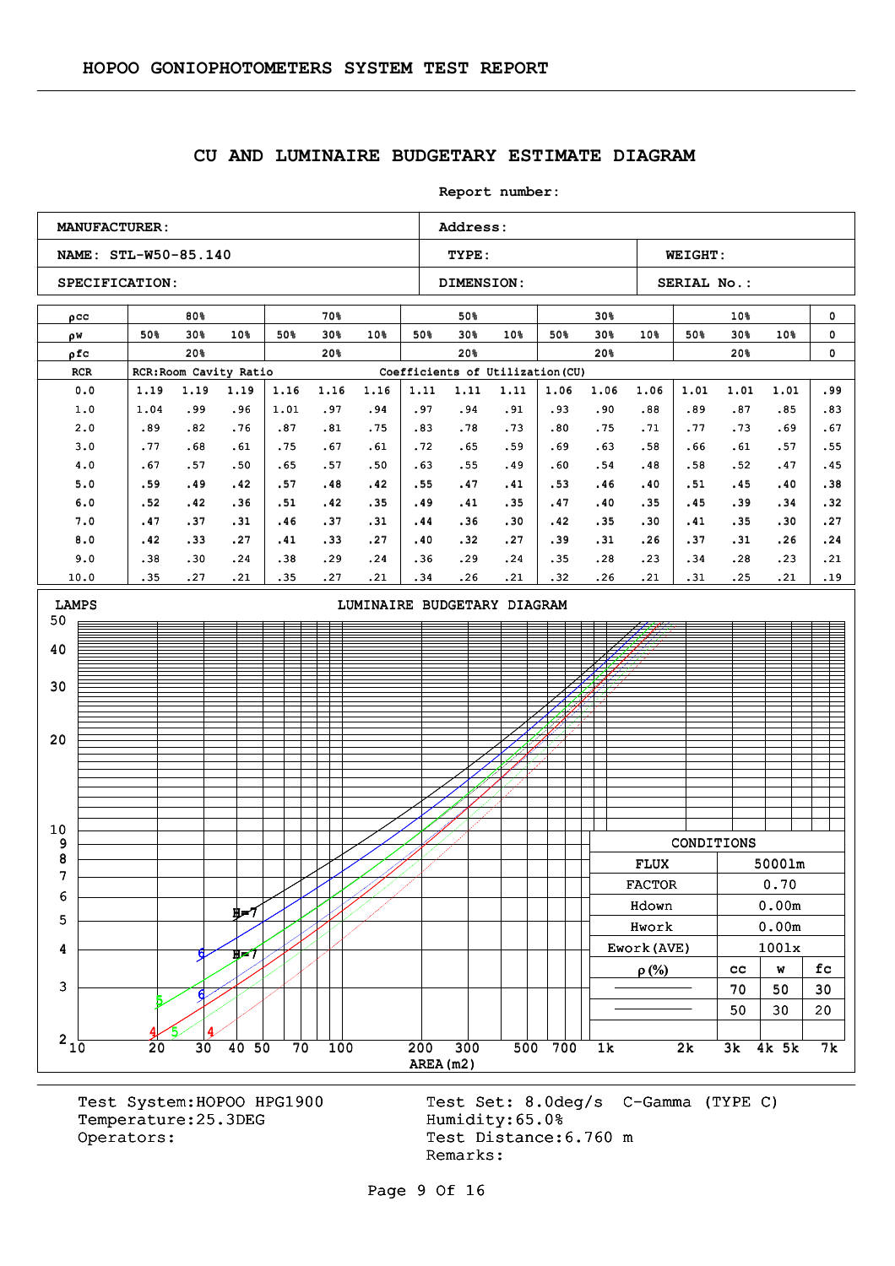### **CU AND LUMINAIRE BUDGETARY ESTIMATE DIAGRAM**

**Report number:** 



Temperature: 25.3DEG Humidity: 65.0% Operators: Test Distance: 6.760 m

Test System:HOPOO HPG1900 Test Set: 8.0deg/s C-Gamma (TYPE C) Remarks: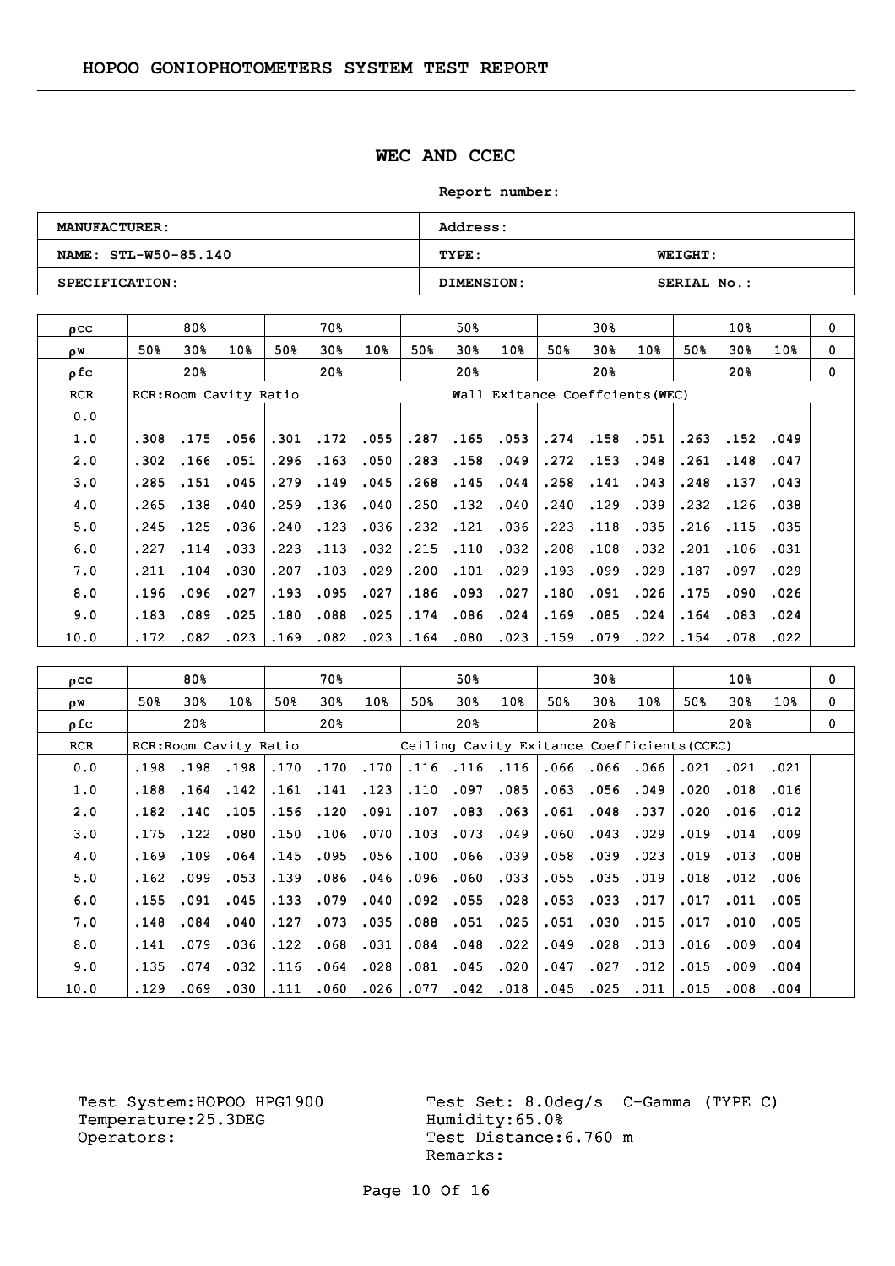### **WEC AND CCEC**

**Report number:** 

| <b>MANUFACTURER:</b> | <b>Address:</b>   |                    |
|----------------------|-------------------|--------------------|
| NAME: STL-W50-85.140 | TYPE:             | <b>WEIGHT:</b>     |
| SPECIFICATION:       | <b>DIMENSION:</b> | <b>SERIAL No.:</b> |

| $_{\text{O}}$ CC |      | 80%  |                        |      | 70왕  |             |      | 50%                             |                 |      | 30%      |      |      | 10 <sub>8</sub> |      | 0        |
|------------------|------|------|------------------------|------|------|-------------|------|---------------------------------|-----------------|------|----------|------|------|-----------------|------|----------|
| οW               | 50%  | 30%  | 10%                    | 50%  | 30%  | 10%         | 50%  | 30%                             | 10 <sub>8</sub> | 50%  | 30%      | 10%  | 50%  | 30 <sub>8</sub> | 10%  | $\Omega$ |
| ρfc              |      | 20%  |                        |      | 20%  |             |      | 20%                             |                 |      | 20%      |      |      | 20%             |      | $\Omega$ |
| <b>RCR</b>       |      |      | RCR: Room Cavity Ratio |      |      |             |      | Wall Exitance Coeffcients (WEC) |                 |      |          |      |      |                 |      |          |
| 0.0              |      |      |                        |      |      |             |      |                                 |                 |      |          |      |      |                 |      |          |
| 1.0              | .308 | .175 | .056                   | .301 |      | $.172$ .055 | .287 | .165                            | .053            |      | .274.158 | .051 | .263 | .152            | .049 |          |
| 2.0              | .302 | .166 | .051                   | .296 | .163 | .050        | .283 | .158                            | .049            | .272 | .153     | .048 | .261 | .148            | .047 |          |
| 3.0              | .285 | .151 | .045                   | .279 | .149 | .045        | .268 | .145                            | .044            | .258 | .141     | .043 | .248 | .137            | .043 |          |
| 4.0              | .265 | .138 | .040                   | .259 | .136 | .040        | .250 | .132                            | .040            | .240 | .129     | .039 | .232 | .126            | .038 |          |
| 5.0              | .245 | .125 | .036                   | .240 | .123 | .036        | .232 | .121                            | .036            | .223 | .118     | .035 | .216 | .115            | .035 |          |
| 6.0              | .227 | .114 | .033                   | .223 | .113 | .032        | .215 | .110                            | .032            | .208 | .108     | .032 | .201 | .106            | .031 |          |
| 7.0              | .211 | .104 | .030                   | .207 | .103 | .029        | .200 | .101                            | .029            | .193 | .099     | .029 | .187 | .097            | .029 |          |
| 8.0              | .196 | .096 | .027                   | .193 | .095 | .027        | .186 | .093                            | .027            | .180 | .091     | .026 | .175 | .090            | .026 |          |
| 9.0              | .183 | .089 | .025                   | .180 | .088 | .025        | .174 | .086                            | .024            | .169 | .085     | .024 | .164 | .083            | .024 |          |
| 10.0             | .172 | .082 | .023                   | .169 | .082 | .023        | .164 | .080                            | .023            | .159 | .079     | .022 | .154 | .078            | .022 |          |

| $_{\text{pcc}}$ |      | 80%  |                        |      | 70%  |                 |      | 50%             |                 |                                             | 30%  |      |      | 10%             |      | $\mathbf 0$ |
|-----------------|------|------|------------------------|------|------|-----------------|------|-----------------|-----------------|---------------------------------------------|------|------|------|-----------------|------|-------------|
| ρW              | 50%  | 30%  | 10 <sub>8</sub>        | 50%  | 30%  | 10 <sub>8</sub> | 50%  | 30 <sub>8</sub> | 10 <sub>8</sub> | 50%                                         | 30%  | 10%  | 50%  | 30%             | 10%  | 0           |
| ofc             |      | 20%  |                        |      | 20%  |                 |      | 20%             |                 |                                             | 20%  |      |      | 20 <sup>8</sup> |      | 0           |
| <b>RCR</b>      |      |      | RCR: Room Cavity Ratio |      |      |                 |      |                 |                 | Ceiling Cavity Exitance Coefficients (CCEC) |      |      |      |                 |      |             |
| 0.0             | .198 | .198 | .198                   | .170 | .170 | .170            | .116 | .116            | .116            | .066                                        | .066 | .066 | .021 | .021            | .021 |             |
| 1.0             | .188 | .164 | .142                   | .161 | .141 | .123            | .110 | .097            | .085            | .063                                        | .056 | .049 | .020 | .018            | .016 |             |
| 2.0             | .182 | .140 | .105                   | .156 | .120 | .091            | .107 | .083            | .063            | .061                                        | .048 | .037 | .020 | .016            | .012 |             |
| 3.0             | .175 | .122 | .080                   | .150 | .106 | .070            | .103 | .073            | .049            | .060                                        | .043 | .029 | .019 | .014            | .009 |             |
| 4.0             | .169 | .109 | .064                   | .145 | .095 | .056            | .100 | .066            | .039            | .058                                        | .039 | .023 | .019 | .013            | .008 |             |
| 5.0             | .162 | .099 | .053                   | .139 | .086 | .046            | .096 | .060            | .033            | .055                                        | .035 | .019 | .018 | .012            | .006 |             |
| 6.0             | .155 | .091 | .045                   | .133 | .079 | .040            | .092 | .055            | .028            | .053                                        | .033 | .017 | .017 | .011            | .005 |             |
| 7.0             | .148 | .084 | .040                   | .127 | .073 | .035            | .088 | .051            | .025            | .051                                        | .030 | .015 | .017 | .010            | .005 |             |
| 8.0             | .141 | .079 | .036                   | .122 | .068 | .031            | .084 | .048            | .022            | .049                                        | .028 | .013 | .016 | .009            | .004 |             |
| 9.0             | .135 | .074 | .032                   | .116 | .064 | .028            | .081 | .045            | .020            | .047                                        | .027 | .012 | .015 | .009            | .004 |             |
| 10.0            | .129 | .069 | .030                   | .111 | .060 | .026            | .077 | .042            | .018            | .045                                        | .025 | .011 | .015 | .008            | .004 |             |

Temperature:25.3DEG Operators: Test Distance: 6.760 m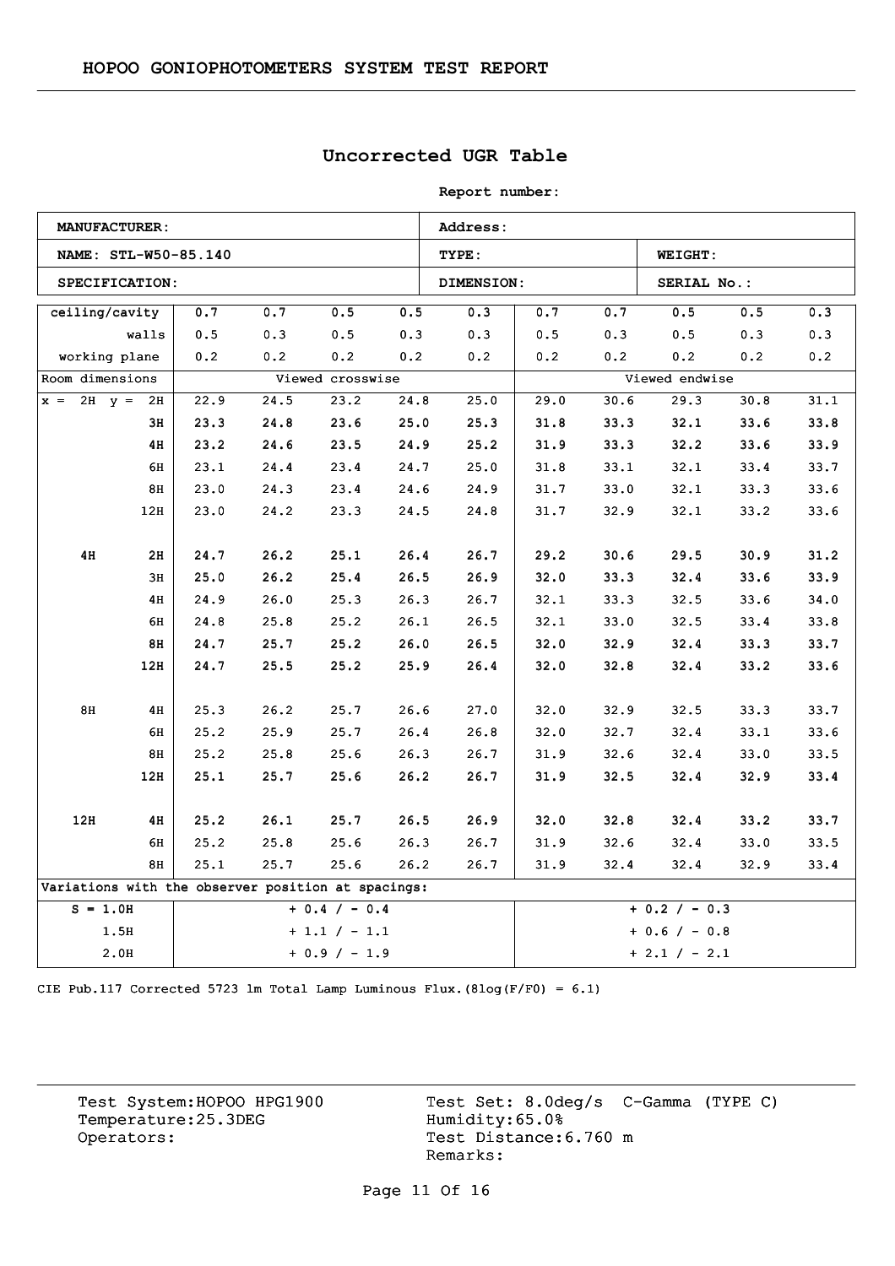## **Uncorrected UGR Table**

**Report number:** 

|                                                    | <b>MANUFACTURER:</b> |      |      |                  |      | Address:   |      |      |                 |      |      |  |
|----------------------------------------------------|----------------------|------|------|------------------|------|------------|------|------|-----------------|------|------|--|
|                                                    | NAME: STL-W50-85.140 |      |      |                  |      | TYPE:      |      |      | <b>WEIGHT:</b>  |      |      |  |
|                                                    | SPECIFICATION:       |      |      |                  |      | DIMENSION: |      |      | SERIAL No.:     |      |      |  |
| ceiling/cavity                                     |                      | 0.7  | 0.7  | $0.5\,$          | 0.5  | 0.3        | 0.7  | 0.7  | 0.5             | 0.5  | 0.3  |  |
|                                                    | walls                | 0.5  | 0.3  | 0.5              | 0.3  | 0.3        | 0.5  | 0.3  | 0.5             | 0.3  | 0.3  |  |
| working plane                                      |                      | 0.2  | 0.2  | 0.2              | 0.2  | 0.2        | 0.2  | 0.2  | 0.2             | 0.2  | 0.2  |  |
| Room dimensions                                    |                      |      |      | Viewed crosswise |      |            |      |      | Viewed endwise  |      |      |  |
| $x = 2H$ $y = 2H$                                  |                      | 22.9 | 24.5 | 23.2             | 24.8 | 25.0       | 29.0 | 30.6 | 29.3            | 30.8 | 31.1 |  |
|                                                    | 3н                   | 23.3 | 24.8 | 23.6             | 25.0 | 25.3       | 31.8 | 33.3 | 32.1            | 33.6 | 33.8 |  |
|                                                    | 4H                   | 23.2 | 24.6 | 23.5             | 24.9 | 25.2       | 31.9 | 33.3 | 32.2            | 33.6 | 33.9 |  |
|                                                    | 6H                   | 23.1 | 24.4 | 23.4             | 24.7 | 25.0       | 31.8 | 33.1 | 32.1            | 33.4 | 33.7 |  |
|                                                    | 8H                   | 23.0 | 24.3 | 23.4             | 24.6 | 24.9       | 31.7 | 33.0 | 32.1            | 33.3 | 33.6 |  |
|                                                    | 12H                  | 23.0 | 24.2 | 23.3             | 24.5 | 24.8       | 31.7 | 32.9 | 32.1            | 33.2 | 33.6 |  |
|                                                    |                      |      |      |                  |      |            |      |      |                 |      |      |  |
| 4H                                                 | 2H                   | 24.7 | 26.2 | 25.1             | 26.4 | 26.7       | 29.2 | 30.6 | 29.5            | 30.9 | 31.2 |  |
|                                                    | 3H                   | 25.0 | 26.2 | 25.4             | 26.5 | 26.9       | 32.0 | 33.3 | 32.4            | 33.6 | 33.9 |  |
|                                                    | 4H                   | 24.9 | 26.0 | 25.3             | 26.3 | 26.7       | 32.1 | 33.3 | 32.5            | 33.6 | 34.0 |  |
|                                                    | 6H                   | 24.8 | 25.8 | 25.2             | 26.1 | 26.5       | 32.1 | 33.0 | 32.5            | 33.4 | 33.8 |  |
|                                                    | 8H                   | 24.7 | 25.7 | 25.2             | 26.0 | 26.5       | 32.0 | 32.9 | 32.4            | 33.3 | 33.7 |  |
|                                                    | 12H                  | 24.7 | 25.5 | 25.2             | 25.9 | 26.4       | 32.0 | 32.8 | 32.4            | 33.2 | 33.6 |  |
|                                                    |                      |      |      |                  |      |            |      |      |                 |      |      |  |
| 8H                                                 | 4H                   | 25.3 | 26.2 | 25.7             | 26.6 | 27.0       | 32.0 | 32.9 | 32.5            | 33.3 | 33.7 |  |
|                                                    | 6н                   | 25.2 | 25.9 | 25.7             | 26.4 | 26.8       | 32.0 | 32.7 | 32.4            | 33.1 | 33.6 |  |
|                                                    | 8H                   | 25.2 | 25.8 | 25.6             | 26.3 | 26.7       | 31.9 | 32.6 | 32.4            | 33.0 | 33.5 |  |
|                                                    | 12H                  | 25.1 | 25.7 | 25.6             | 26.2 | 26.7       | 31.9 | 32.5 | 32.4            | 32.9 | 33.4 |  |
|                                                    |                      |      |      |                  |      |            |      |      |                 |      |      |  |
| 12H                                                | 4H                   | 25.2 | 26.1 | 25.7             | 26.5 | 26.9       | 32.0 | 32.8 | 32.4            | 33.2 | 33.7 |  |
|                                                    | 6H                   | 25.2 | 25.8 | 25.6             | 26.3 | 26.7       | 31.9 | 32.6 | 32.4            | 33.0 | 33.5 |  |
|                                                    | 8H                   | 25.1 | 25.7 | 25.6             | 26.2 | 26.7       | 31.9 | 32.4 | 32.4            | 32.9 | 33.4 |  |
| Variations with the observer position at spacings: |                      |      |      |                  |      |            |      |      |                 |      |      |  |
| $S = 1.0H$                                         |                      |      |      | $+ 0.4 / - 0.4$  |      |            |      |      | $+ 0.2 / - 0.3$ |      |      |  |
|                                                    | 1.5H                 |      |      | $+1.1 / -1.1$    |      |            |      |      | $+ 0.6 / - 0.8$ |      |      |  |
|                                                    | 2.0H                 |      |      | $+ 0.9 / - 1.9$  |      |            |      |      | $+ 2.1 / - 2.1$ |      |      |  |

CIE Pub.117 Corrected 5723 lm Total Lamp Luminous Flux.(8log(F/F0) = 6.1)

Temperature:25.3DEG Operators: Test Distance: 6.760 m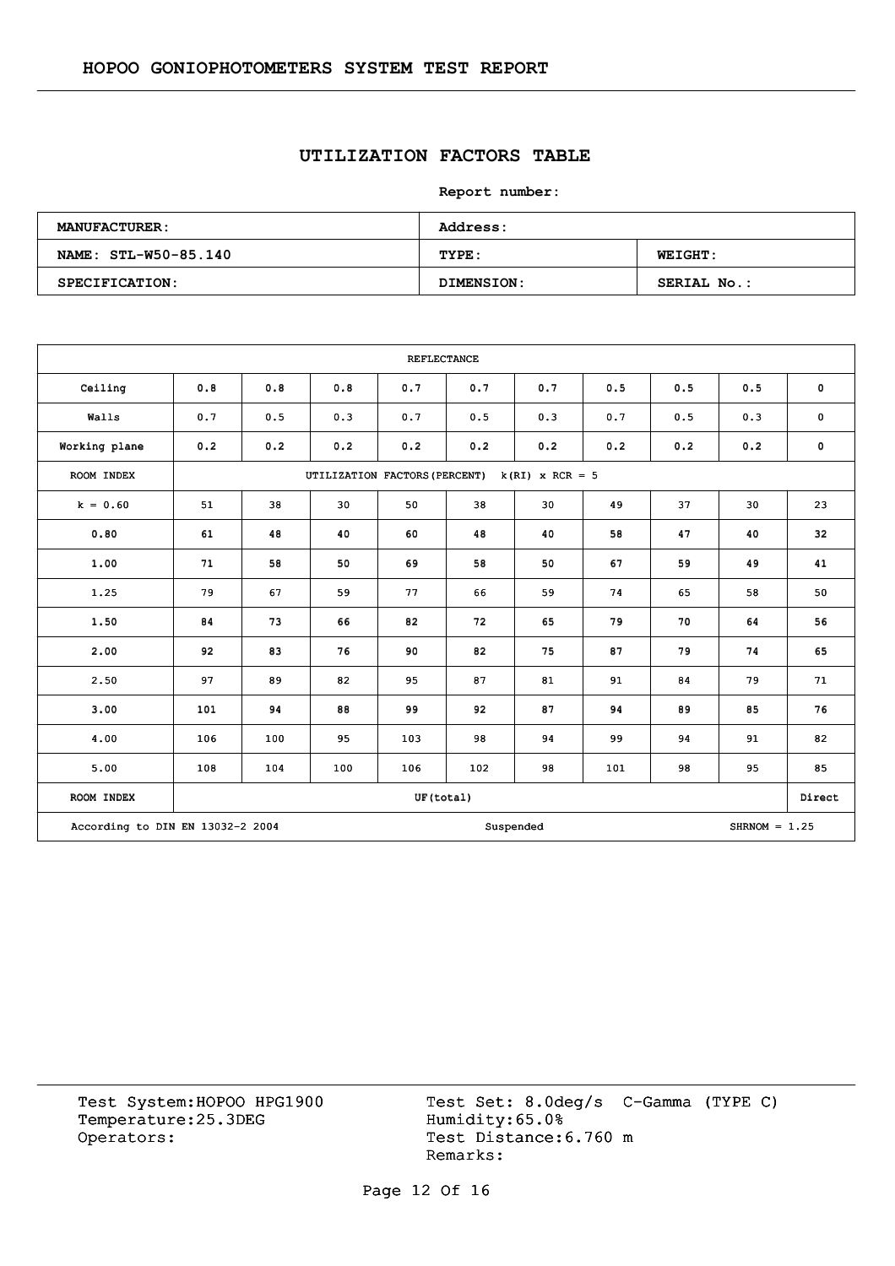## **UTILIZATION FACTORS TABLE**

**Report number:** 

| <b>MANUFACTURER:</b> | Address:   |                    |
|----------------------|------------|--------------------|
| NAME: STL-W50-85.140 | TYPE:      | <b>WEIGHT:</b>     |
| SPECIFICATION:       | DIMENSION: | <b>SERIAL No.:</b> |

|                                  |     |     |                               | <b>REFLECTANCE</b> |     |                   |     |     |                 |             |
|----------------------------------|-----|-----|-------------------------------|--------------------|-----|-------------------|-----|-----|-----------------|-------------|
| Ceiling                          | 0.8 | 0.8 | 0.8                           | 0.7                | 0.7 | 0.7               | 0.5 | 0.5 | 0.5             | $\mathbf 0$ |
| Walls                            | 0.7 | 0.5 | 0.3                           | 0.7                | 0.5 | 0.3               | 0.7 | 0.5 | 0.3             | $\pmb{0}$   |
| Working plane                    | 0.2 | 0.2 | 0.2                           | 0.2                | 0.2 | 0.2               | 0.2 | 0.2 | 0.2             | $\mathbf 0$ |
| ROOM INDEX                       |     |     | UTILIZATION FACTORS (PERCENT) |                    |     | $k(RI)$ x RCR = 5 |     |     |                 |             |
| $k = 0.60$                       | 51  | 38  | 30                            | 50                 | 38  | 30                | 49  | 37  | 30              | 23          |
| 0.80                             | 61  | 48  | 40                            | 60                 | 48  | 40                | 58  | 47  | 40              | 32          |
| 1.00                             | 71  | 58  | 50                            | 69                 | 58  | 50                | 67  | 59  | 49              | 41          |
| 1.25                             | 79  | 67  | 59                            | 77                 | 66  | 59                | 74  | 65  | 58              | 50          |
| 1.50                             | 84  | 73  | 66                            | 82                 | 72  | 65                | 79  | 70  | 64              | 56          |
| 2.00                             | 92  | 83  | 76                            | 90                 | 82  | 75                | 87  | 79  | 74              | 65          |
| 2.50                             | 97  | 89  | 82                            | 95                 | 87  | 81                | 91  | 84  | 79              | 71          |
| 3.00                             | 101 | 94  | 88                            | 99                 | 92  | 87                | 94  | 89  | 85              | 76          |
| 4.00                             | 106 | 100 | 95                            | 103                | 98  | 94                | 99  | 94  | 91              | 82          |
| 5.00                             | 108 | 104 | 100                           | 106                | 102 | 98                | 101 | 98  | 95              | 85          |
| ROOM INDEX                       |     |     |                               | UF(total)          |     |                   |     |     |                 | Direct      |
| According to DIN EN 13032-2 2004 |     |     |                               |                    |     | Suspended         |     |     | $SHRNOM = 1.25$ |             |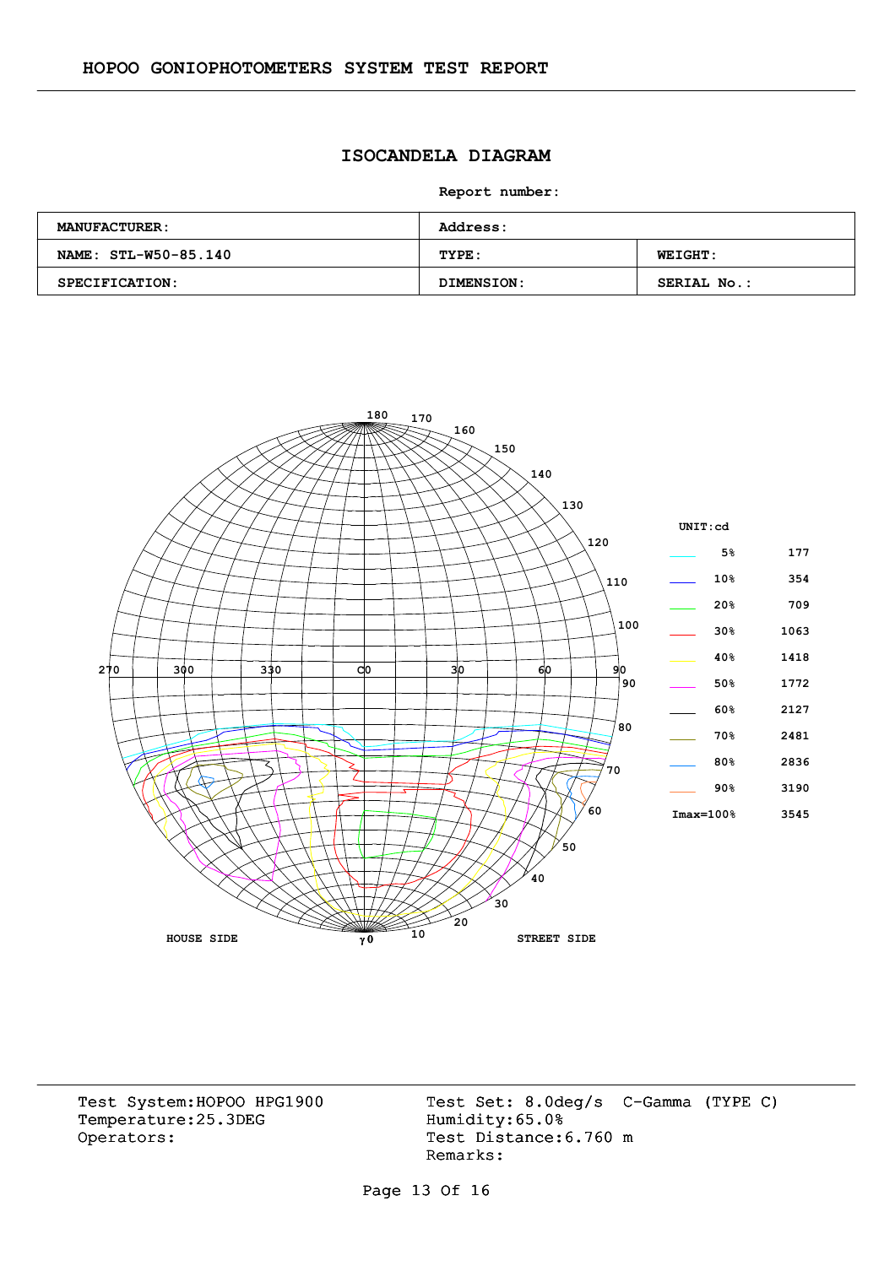### **ISOCANDELA DIAGRAM**

**Report number:** 

| <b>MANUFACTURER:</b> | <b>Address:</b> |                    |
|----------------------|-----------------|--------------------|
| NAME: STL-W50-85.140 | TYPE:           | <b>WEIGHT:</b>     |
| SPECIFICATION:       | DIMENSION:      | <b>SERIAL No.:</b> |



Temperature:25.3DEG Operators: Test Distance: 6.760 m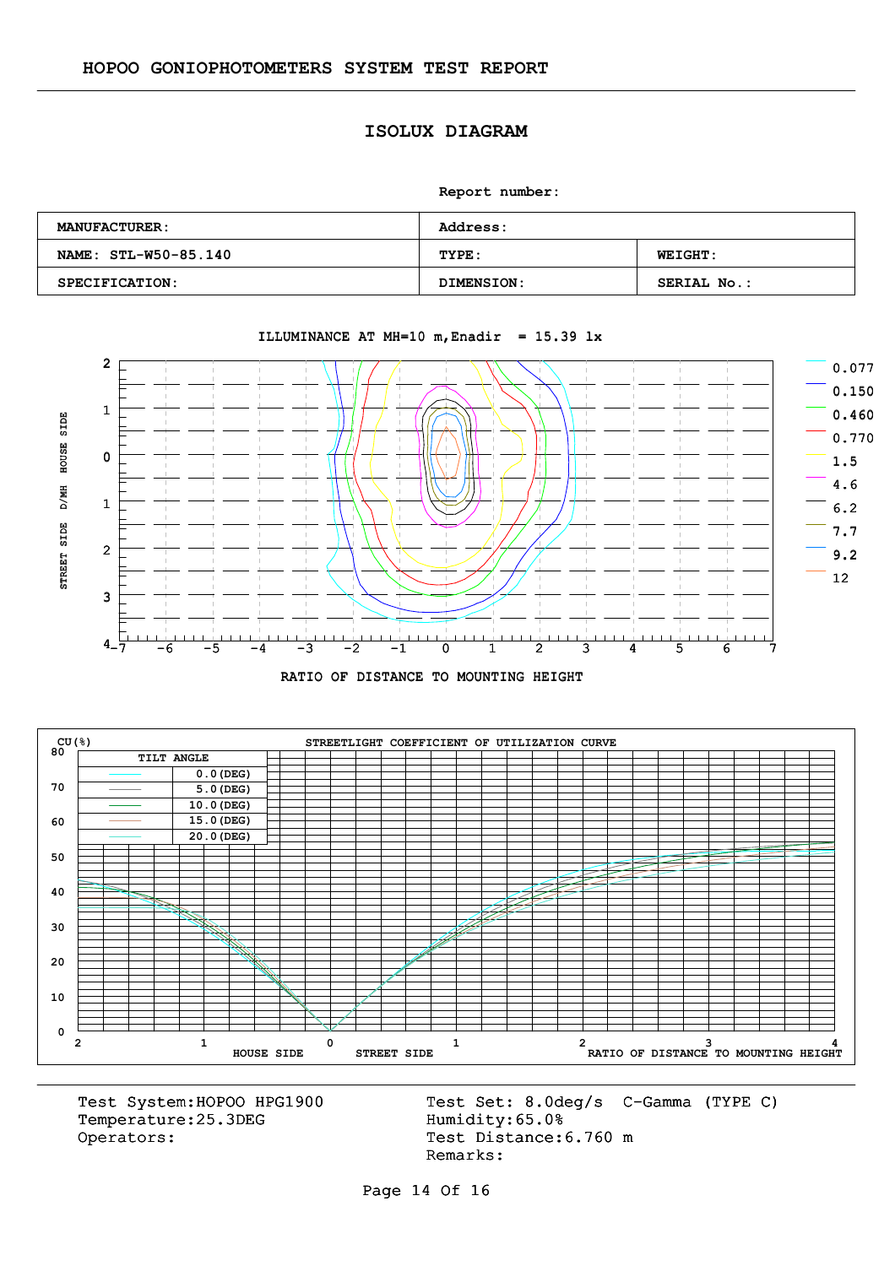#### **ISOLUX DIAGRAM**

**Report number:** 

| <b>MANUFACTURER:</b> | <b>Address:</b>   |                    |
|----------------------|-------------------|--------------------|
| NAME: STL-W50-85.140 | TYPE:             | <b>WEIGHT:</b>     |
| SPECIFICATION:       | <b>DIMENSION:</b> | <b>SERIAL No.:</b> |



#### ILLUMINANCE AT MH=10 m, Enadir =  $15.39$  lx





Temperature:25.3DEG Operators: Test Distance: 6.760 m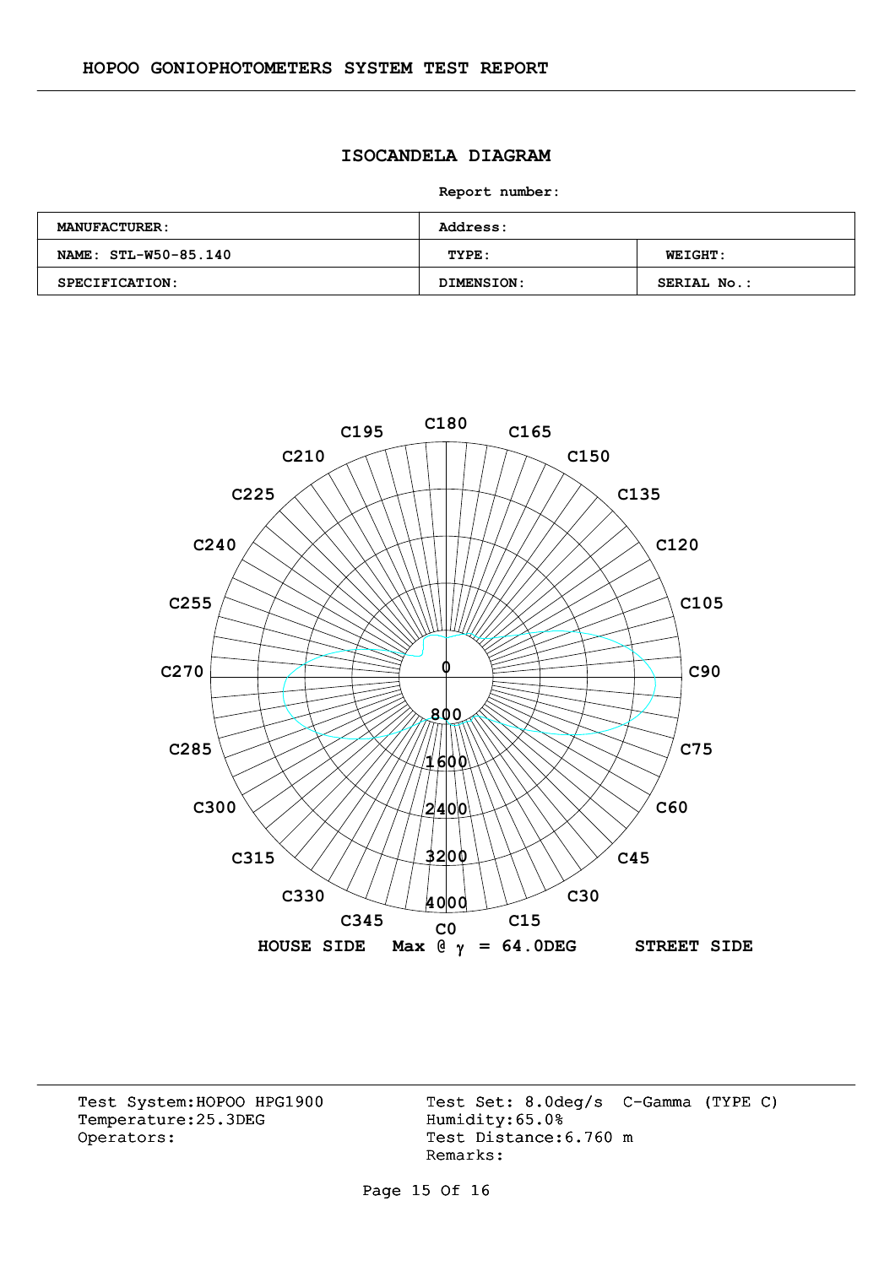### **ISOCANDELA DIAGRAM**

**Report number:** 

| <b>MANUFACTURER:</b> | Address:   |                    |
|----------------------|------------|--------------------|
| NAME: STL-W50-85.140 | TYPE:      | <b>WEIGHT:</b>     |
| SPECIFICATION:       | DIMENSION: | <b>SERIAL No.:</b> |



Temperature:25.3DEG Operators: Test Distance: 6.760 m

Test System:HOPOO HPG1900 Test Set: 8.0deg/s C-Gamma (TYPE C)<br>Temperature:25.3DEG Humidity:65.0% Remarks:

Page 15 Of 16